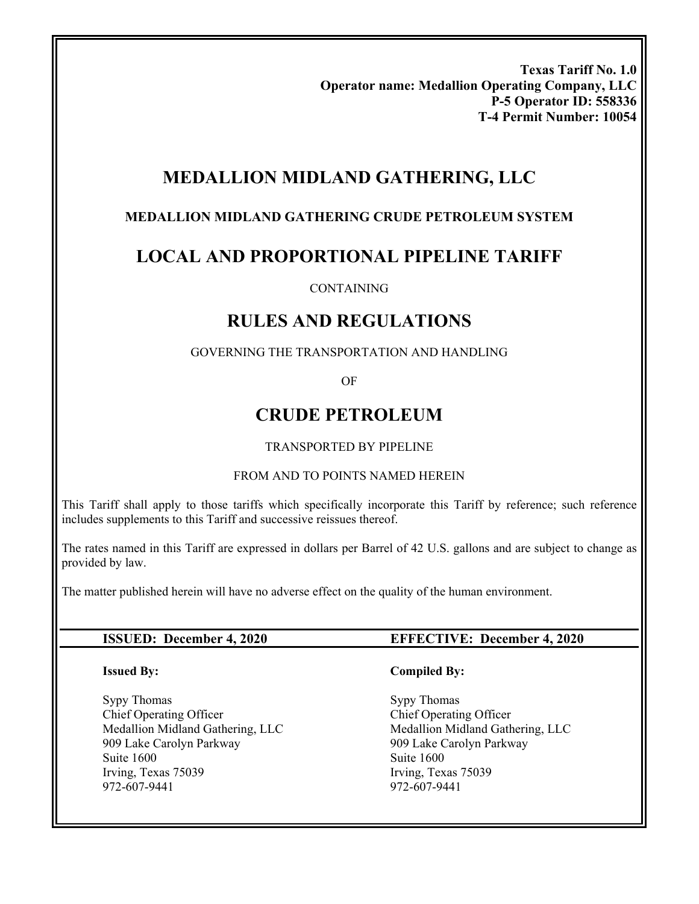**Texas Tariff No. 1.0 Operator name: Medallion Operating Company, LLC P-5 Operator ID: 558336 T-4 Permit Number: 10054** 

# **MEDALLION MIDLAND GATHERING, LLC**

#### **MEDALLION MIDLAND GATHERING CRUDE PETROLEUM SYSTEM**

# **LOCAL AND PROPORTIONAL PIPELINE TARIFF**

#### CONTAINING

# **RULES AND REGULATIONS**

#### GOVERNING THE TRANSPORTATION AND HANDLING

OF

# **CRUDE PETROLEUM**

#### TRANSPORTED BY PIPELINE

#### FROM AND TO POINTS NAMED HEREIN

This Tariff shall apply to those tariffs which specifically incorporate this Tariff by reference; such reference includes supplements to this Tariff and successive reissues thereof.

The rates named in this Tariff are expressed in dollars per Barrel of 42 U.S. gallons and are subject to change as provided by law.

The matter published herein will have no adverse effect on the quality of the human environment.

#### **Issued By:**

Sypy Thomas Chief Operating Officer Medallion Midland Gathering, LLC 909 Lake Carolyn Parkway Suite 1600 Irving, Texas 75039 972-607-9441

#### **ISSUED: December 4, 2020 EFFECTIVE: December 4, 2020**

#### **Compiled By:**

Sypy Thomas Chief Operating Officer Medallion Midland Gathering, LLC 909 Lake Carolyn Parkway Suite 1600 Irving, Texas 75039 972-607-9441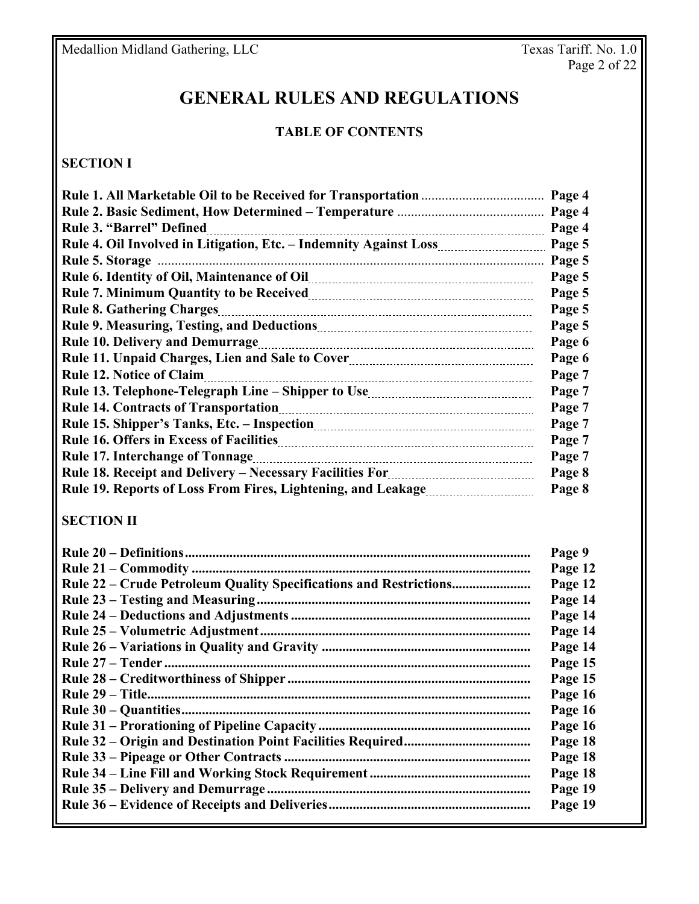# **GENERAL RULES AND REGULATIONS**

#### **TABLE OF CONTENTS**

## **SECTION I**

|                                                                                                                                | Page 4 |
|--------------------------------------------------------------------------------------------------------------------------------|--------|
|                                                                                                                                | Page 4 |
| <b>Rule 3. "Barrel" Defined</b>                                                                                                | Page 4 |
|                                                                                                                                | Page 5 |
|                                                                                                                                | Page 5 |
|                                                                                                                                | Page 5 |
|                                                                                                                                | Page 5 |
| <b>Rule 8. Gathering Charges</b>                                                                                               | Page 5 |
|                                                                                                                                | Page 5 |
| <b>Rule 10. Delivery and Demurrage</b>                                                                                         | Page 6 |
|                                                                                                                                | Page 6 |
| <b>Rule 12. Notice of Claim</b>                                                                                                | Page 7 |
|                                                                                                                                | Page 7 |
|                                                                                                                                | Page 7 |
|                                                                                                                                | Page 7 |
|                                                                                                                                | Page 7 |
|                                                                                                                                | Page 7 |
| Rule 18. Receipt and Delivery - Necessary Facilities For manual control of the Receipt and Delivery - Necessary Facilities For | Page 8 |
|                                                                                                                                | Page 8 |

## **SECTION II**

|                                                                   | Page 9  |
|-------------------------------------------------------------------|---------|
|                                                                   | Page 12 |
| Rule 22 – Crude Petroleum Quality Specifications and Restrictions | Page 12 |
|                                                                   | Page 14 |
|                                                                   | Page 14 |
|                                                                   | Page 14 |
|                                                                   | Page 14 |
|                                                                   | Page 15 |
|                                                                   | Page 15 |
|                                                                   | Page 16 |
|                                                                   | Page 16 |
|                                                                   | Page 16 |
|                                                                   | Page 18 |
|                                                                   | Page 18 |
|                                                                   | Page 18 |
|                                                                   | Page 19 |
|                                                                   | Page 19 |
|                                                                   |         |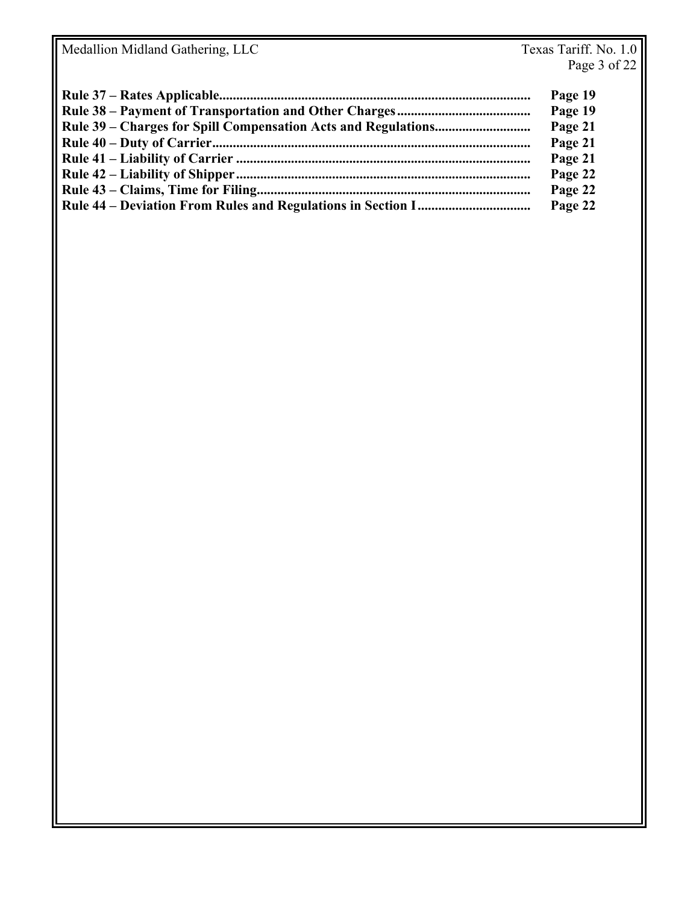| Page 19 |
|---------|
| Page 19 |
| Page 21 |
| Page 21 |
| Page 21 |
| Page 22 |
| Page 22 |
| Page 22 |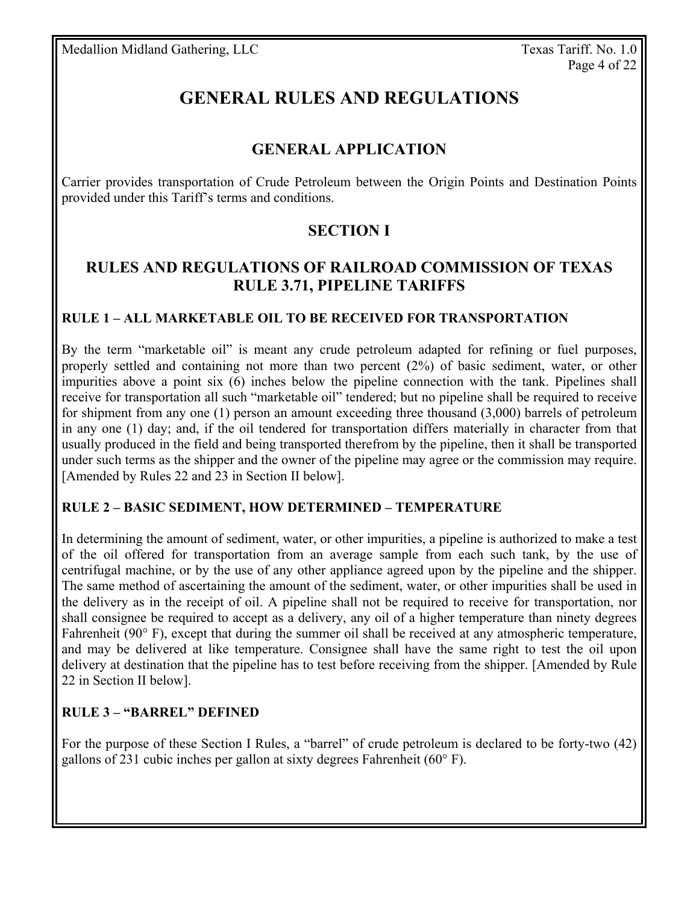# **GENERAL RULES AND REGULATIONS**

## **GENERAL APPLICATION**

Carrier provides transportation of Crude Petroleum between the Origin Points and Destination Points provided under this Tariff's terms and conditions.

# **SECTION I**

## **RULES AND REGULATIONS OF RAILROAD COMMISSION OF TEXAS RULE 3.71, PIPELINE TARIFFS**

#### **RULE 1 – ALL MARKETABLE OIL TO BE RECEIVED FOR TRANSPORTATION**

By the term "marketable oil" is meant any crude petroleum adapted for refining or fuel purposes, properly settled and containing not more than two percent (2%) of basic sediment, water, or other impurities above a point six (6) inches below the pipeline connection with the tank. Pipelines shall receive for transportation all such "marketable oil" tendered; but no pipeline shall be required to receive for shipment from any one (1) person an amount exceeding three thousand (3,000) barrels of petroleum in any one (1) day; and, if the oil tendered for transportation differs materially in character from that usually produced in the field and being transported therefrom by the pipeline, then it shall be transported under such terms as the shipper and the owner of the pipeline may agree or the commission may require. [Amended by Rules 22 and 23 in Section II below].

#### **RULE 2 – BASIC SEDIMENT, HOW DETERMINED – TEMPERATURE**

In determining the amount of sediment, water, or other impurities, a pipeline is authorized to make a test of the oil offered for transportation from an average sample from each such tank, by the use of centrifugal machine, or by the use of any other appliance agreed upon by the pipeline and the shipper. The same method of ascertaining the amount of the sediment, water, or other impurities shall be used in the delivery as in the receipt of oil. A pipeline shall not be required to receive for transportation, nor shall consignee be required to accept as a delivery, any oil of a higher temperature than ninety degrees Fahrenheit (90° F), except that during the summer oil shall be received at any atmospheric temperature, and may be delivered at like temperature. Consignee shall have the same right to test the oil upon delivery at destination that the pipeline has to test before receiving from the shipper. [Amended by Rule 22 in Section II below].

## **RULE 3 – "BARREL" DEFINED**

For the purpose of these Section I Rules, a "barrel" of crude petroleum is declared to be forty-two (42) gallons of 231 cubic inches per gallon at sixty degrees Fahrenheit (60° F).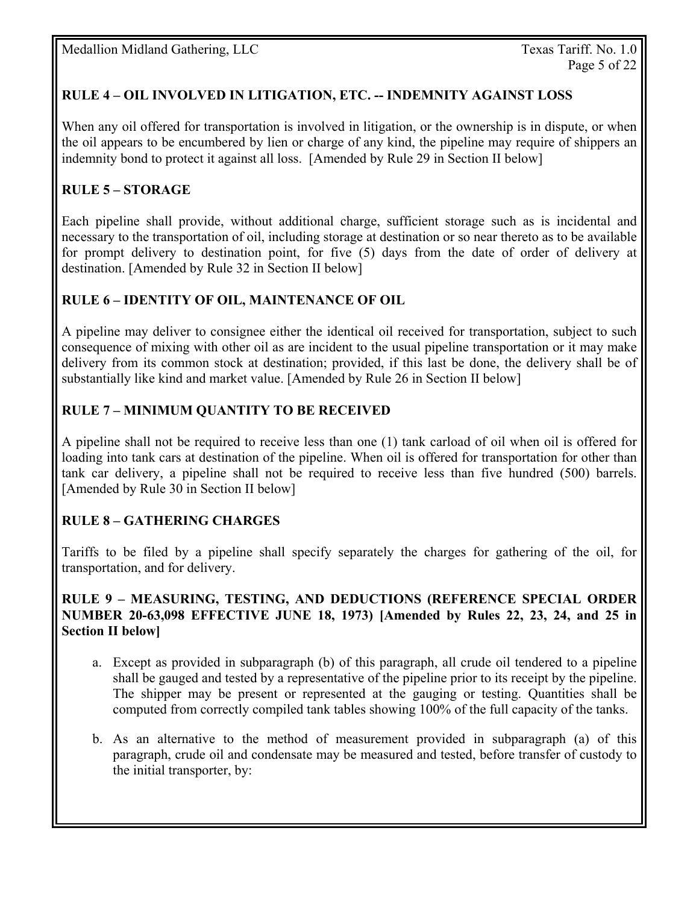## **RULE 4 – OIL INVOLVED IN LITIGATION, ETC. -- INDEMNITY AGAINST LOSS**

When any oil offered for transportation is involved in litigation, or the ownership is in dispute, or when the oil appears to be encumbered by lien or charge of any kind, the pipeline may require of shippers an indemnity bond to protect it against all loss. [Amended by Rule 29 in Section II below]

## **RULE 5 – STORAGE**

Each pipeline shall provide, without additional charge, sufficient storage such as is incidental and necessary to the transportation of oil, including storage at destination or so near thereto as to be available for prompt delivery to destination point, for five (5) days from the date of order of delivery at destination. [Amended by Rule 32 in Section II below]

#### **RULE 6 – IDENTITY OF OIL, MAINTENANCE OF OIL**

A pipeline may deliver to consignee either the identical oil received for transportation, subject to such consequence of mixing with other oil as are incident to the usual pipeline transportation or it may make delivery from its common stock at destination; provided, if this last be done, the delivery shall be of substantially like kind and market value. [Amended by Rule 26 in Section II below]

#### **RULE 7 – MINIMUM QUANTITY TO BE RECEIVED**

A pipeline shall not be required to receive less than one (1) tank carload of oil when oil is offered for loading into tank cars at destination of the pipeline. When oil is offered for transportation for other than tank car delivery, a pipeline shall not be required to receive less than five hundred (500) barrels. [Amended by Rule 30 in Section II below]

#### **RULE 8 – GATHERING CHARGES**

Tariffs to be filed by a pipeline shall specify separately the charges for gathering of the oil, for transportation, and for delivery.

#### **RULE 9 – MEASURING, TESTING, AND DEDUCTIONS (REFERENCE SPECIAL ORDER NUMBER 20-63,098 EFFECTIVE JUNE 18, 1973) [Amended by Rules 22, 23, 24, and 25 in Section II below]**

- a. Except as provided in subparagraph (b) of this paragraph, all crude oil tendered to a pipeline shall be gauged and tested by a representative of the pipeline prior to its receipt by the pipeline. The shipper may be present or represented at the gauging or testing. Quantities shall be computed from correctly compiled tank tables showing 100% of the full capacity of the tanks.
- b. As an alternative to the method of measurement provided in subparagraph (a) of this paragraph, crude oil and condensate may be measured and tested, before transfer of custody to the initial transporter, by: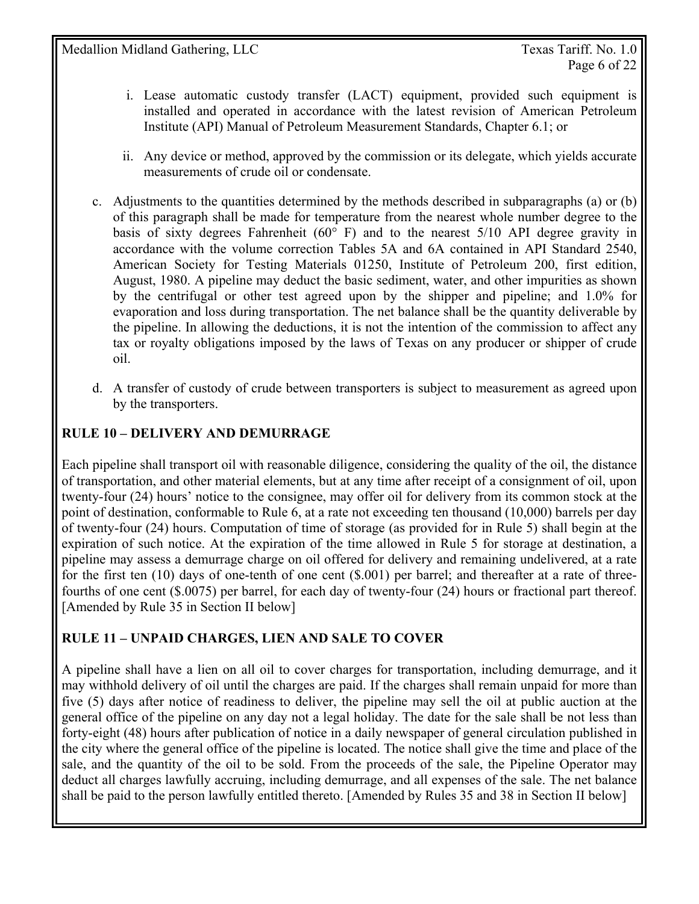- i. Lease automatic custody transfer (LACT) equipment, provided such equipment is installed and operated in accordance with the latest revision of American Petroleum Institute (API) Manual of Petroleum Measurement Standards, Chapter 6.1; or
- ii. Any device or method, approved by the commission or its delegate, which yields accurate measurements of crude oil or condensate.
- c. Adjustments to the quantities determined by the methods described in subparagraphs (a) or (b) of this paragraph shall be made for temperature from the nearest whole number degree to the basis of sixty degrees Fahrenheit ( $60^{\circ}$  F) and to the nearest 5/10 API degree gravity in accordance with the volume correction Tables 5A and 6A contained in API Standard 2540, American Society for Testing Materials 01250, Institute of Petroleum 200, first edition, August, 1980. A pipeline may deduct the basic sediment, water, and other impurities as shown by the centrifugal or other test agreed upon by the shipper and pipeline; and 1.0% for evaporation and loss during transportation. The net balance shall be the quantity deliverable by the pipeline. In allowing the deductions, it is not the intention of the commission to affect any tax or royalty obligations imposed by the laws of Texas on any producer or shipper of crude oil.
- d. A transfer of custody of crude between transporters is subject to measurement as agreed upon by the transporters.

## **RULE 10 – DELIVERY AND DEMURRAGE**

Each pipeline shall transport oil with reasonable diligence, considering the quality of the oil, the distance of transportation, and other material elements, but at any time after receipt of a consignment of oil, upon twenty-four (24) hours' notice to the consignee, may offer oil for delivery from its common stock at the point of destination, conformable to Rule 6, at a rate not exceeding ten thousand (10,000) barrels per day of twenty-four (24) hours. Computation of time of storage (as provided for in Rule 5) shall begin at the expiration of such notice. At the expiration of the time allowed in Rule 5 for storage at destination, a pipeline may assess a demurrage charge on oil offered for delivery and remaining undelivered, at a rate for the first ten (10) days of one-tenth of one cent (\$.001) per barrel; and thereafter at a rate of threefourths of one cent (\$.0075) per barrel, for each day of twenty-four (24) hours or fractional part thereof. [Amended by Rule 35 in Section II below]

## **RULE 11 – UNPAID CHARGES, LIEN AND SALE TO COVER**

A pipeline shall have a lien on all oil to cover charges for transportation, including demurrage, and it may withhold delivery of oil until the charges are paid. If the charges shall remain unpaid for more than five (5) days after notice of readiness to deliver, the pipeline may sell the oil at public auction at the general office of the pipeline on any day not a legal holiday. The date for the sale shall be not less than forty-eight (48) hours after publication of notice in a daily newspaper of general circulation published in the city where the general office of the pipeline is located. The notice shall give the time and place of the sale, and the quantity of the oil to be sold. From the proceeds of the sale, the Pipeline Operator may deduct all charges lawfully accruing, including demurrage, and all expenses of the sale. The net balance shall be paid to the person lawfully entitled thereto. [Amended by Rules 35 and 38 in Section II below]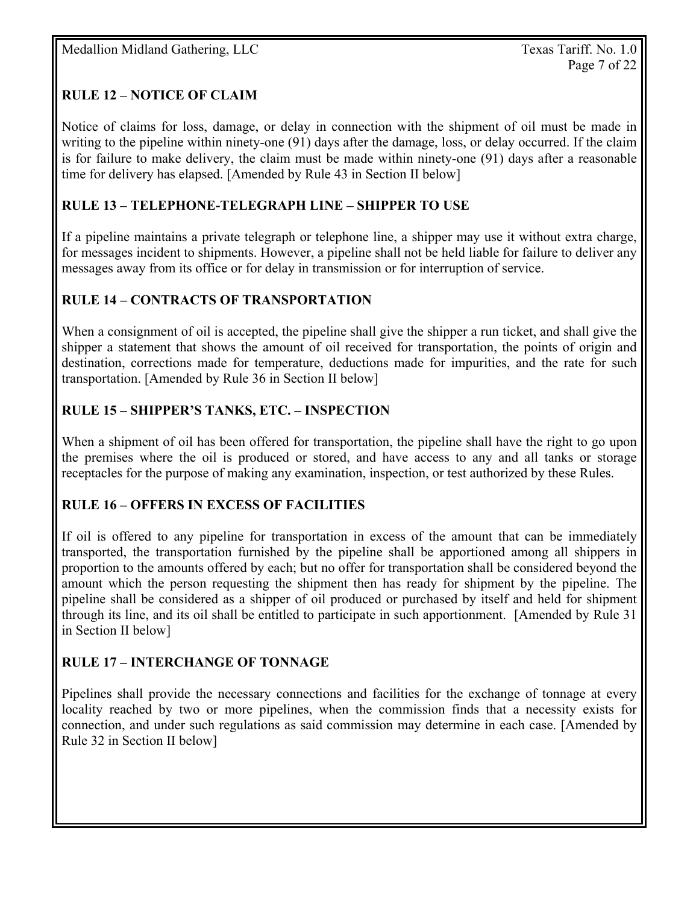## **RULE 12 – NOTICE OF CLAIM**

Notice of claims for loss, damage, or delay in connection with the shipment of oil must be made in writing to the pipeline within ninety-one (91) days after the damage, loss, or delay occurred. If the claim is for failure to make delivery, the claim must be made within ninety-one (91) days after a reasonable time for delivery has elapsed. [Amended by Rule 43 in Section II below]

## **RULE 13 – TELEPHONE-TELEGRAPH LINE – SHIPPER TO USE**

If a pipeline maintains a private telegraph or telephone line, a shipper may use it without extra charge, for messages incident to shipments. However, a pipeline shall not be held liable for failure to deliver any messages away from its office or for delay in transmission or for interruption of service.

#### **RULE 14 – CONTRACTS OF TRANSPORTATION**

When a consignment of oil is accepted, the pipeline shall give the shipper a run ticket, and shall give the shipper a statement that shows the amount of oil received for transportation, the points of origin and destination, corrections made for temperature, deductions made for impurities, and the rate for such transportation. [Amended by Rule 36 in Section II below]

## **RULE 15 – SHIPPER'S TANKS, ETC. – INSPECTION**

When a shipment of oil has been offered for transportation, the pipeline shall have the right to go upon the premises where the oil is produced or stored, and have access to any and all tanks or storage receptacles for the purpose of making any examination, inspection, or test authorized by these Rules.

## **RULE 16 – OFFERS IN EXCESS OF FACILITIES**

If oil is offered to any pipeline for transportation in excess of the amount that can be immediately transported, the transportation furnished by the pipeline shall be apportioned among all shippers in proportion to the amounts offered by each; but no offer for transportation shall be considered beyond the amount which the person requesting the shipment then has ready for shipment by the pipeline. The pipeline shall be considered as a shipper of oil produced or purchased by itself and held for shipment through its line, and its oil shall be entitled to participate in such apportionment. [Amended by Rule 31 in Section II below]

## **RULE 17 – INTERCHANGE OF TONNAGE**

Pipelines shall provide the necessary connections and facilities for the exchange of tonnage at every locality reached by two or more pipelines, when the commission finds that a necessity exists for connection, and under such regulations as said commission may determine in each case. [Amended by Rule 32 in Section II below]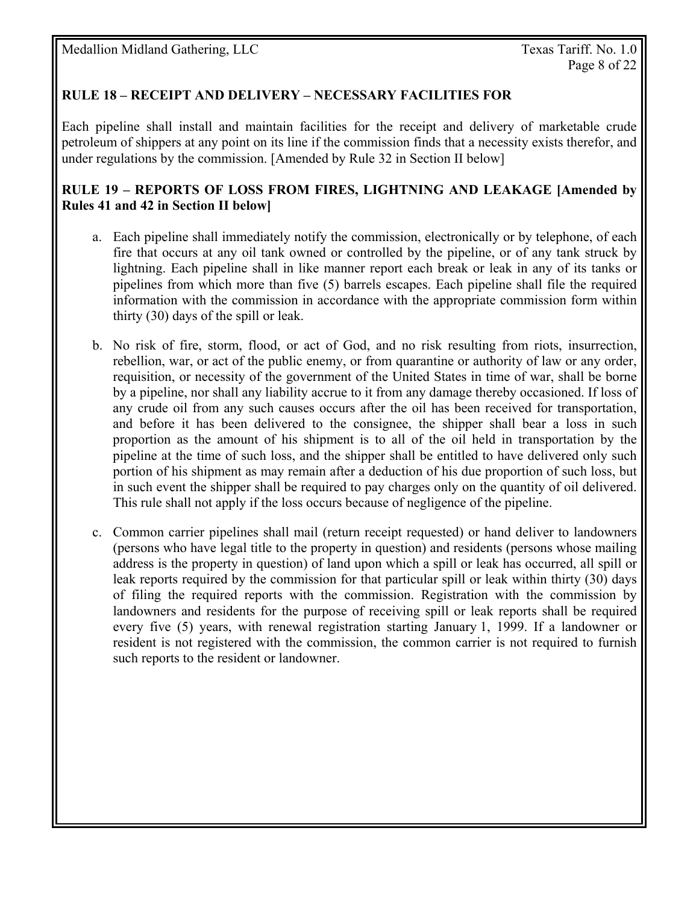### **RULE 18 – RECEIPT AND DELIVERY – NECESSARY FACILITIES FOR**

Each pipeline shall install and maintain facilities for the receipt and delivery of marketable crude petroleum of shippers at any point on its line if the commission finds that a necessity exists therefor, and under regulations by the commission. [Amended by Rule 32 in Section II below]

#### **RULE 19 – REPORTS OF LOSS FROM FIRES, LIGHTNING AND LEAKAGE [Amended by Rules 41 and 42 in Section II below]**

- a. Each pipeline shall immediately notify the commission, electronically or by telephone, of each fire that occurs at any oil tank owned or controlled by the pipeline, or of any tank struck by lightning. Each pipeline shall in like manner report each break or leak in any of its tanks or pipelines from which more than five (5) barrels escapes. Each pipeline shall file the required information with the commission in accordance with the appropriate commission form within thirty (30) days of the spill or leak.
- b. No risk of fire, storm, flood, or act of God, and no risk resulting from riots, insurrection, rebellion, war, or act of the public enemy, or from quarantine or authority of law or any order, requisition, or necessity of the government of the United States in time of war, shall be borne by a pipeline, nor shall any liability accrue to it from any damage thereby occasioned. If loss of any crude oil from any such causes occurs after the oil has been received for transportation, and before it has been delivered to the consignee, the shipper shall bear a loss in such proportion as the amount of his shipment is to all of the oil held in transportation by the pipeline at the time of such loss, and the shipper shall be entitled to have delivered only such portion of his shipment as may remain after a deduction of his due proportion of such loss, but in such event the shipper shall be required to pay charges only on the quantity of oil delivered. This rule shall not apply if the loss occurs because of negligence of the pipeline.
- c. Common carrier pipelines shall mail (return receipt requested) or hand deliver to landowners (persons who have legal title to the property in question) and residents (persons whose mailing address is the property in question) of land upon which a spill or leak has occurred, all spill or leak reports required by the commission for that particular spill or leak within thirty (30) days of filing the required reports with the commission. Registration with the commission by landowners and residents for the purpose of receiving spill or leak reports shall be required every five (5) years, with renewal registration starting January 1, 1999. If a landowner or resident is not registered with the commission, the common carrier is not required to furnish such reports to the resident or landowner.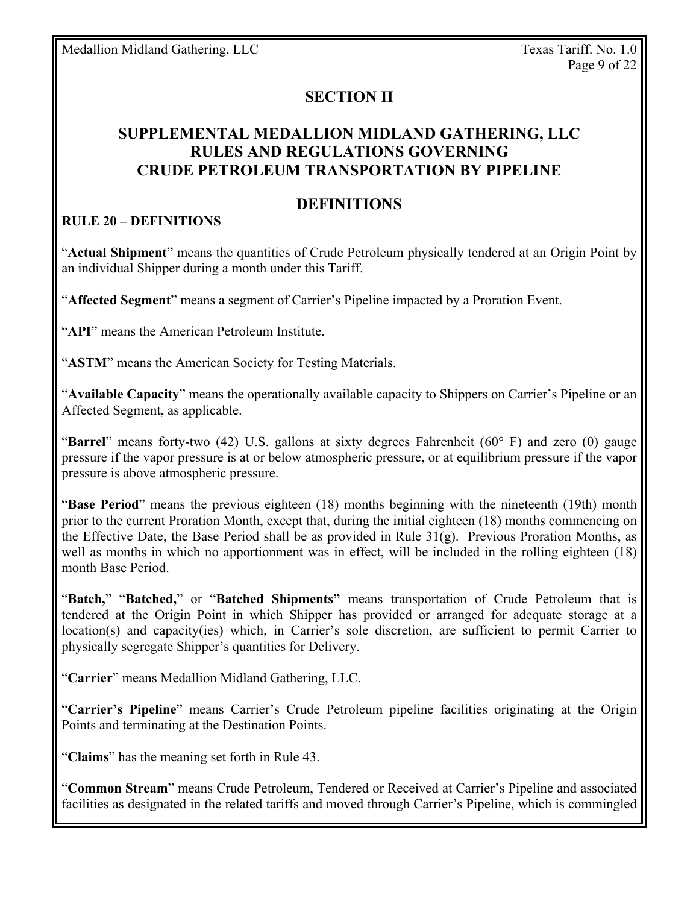## **SECTION II**

## **SUPPLEMENTAL MEDALLION MIDLAND GATHERING, LLC RULES AND REGULATIONS GOVERNING CRUDE PETROLEUM TRANSPORTATION BY PIPELINE**

### **DEFINITIONS**

#### **RULE 20 – DEFINITIONS**

"**Actual Shipment**" means the quantities of Crude Petroleum physically tendered at an Origin Point by an individual Shipper during a month under this Tariff.

"**Affected Segment**" means a segment of Carrier's Pipeline impacted by a Proration Event.

"**API**" means the American Petroleum Institute.

"**ASTM**" means the American Society for Testing Materials.

"**Available Capacity**" means the operationally available capacity to Shippers on Carrier's Pipeline or an Affected Segment, as applicable.

"**Barrel**" means forty-two (42) U.S. gallons at sixty degrees Fahrenheit (60° F) and zero (0) gauge pressure if the vapor pressure is at or below atmospheric pressure, or at equilibrium pressure if the vapor pressure is above atmospheric pressure.

"**Base Period**" means the previous eighteen (18) months beginning with the nineteenth (19th) month prior to the current Proration Month, except that, during the initial eighteen (18) months commencing on the Effective Date, the Base Period shall be as provided in Rule 31(g). Previous Proration Months, as well as months in which no apportionment was in effect, will be included in the rolling eighteen (18) month Base Period.

"**Batch,**" "**Batched,**" or "**Batched Shipments"** means transportation of Crude Petroleum that is tendered at the Origin Point in which Shipper has provided or arranged for adequate storage at a location(s) and capacity(ies) which, in Carrier's sole discretion, are sufficient to permit Carrier to physically segregate Shipper's quantities for Delivery.

"**Carrier**" means Medallion Midland Gathering, LLC.

"**Carrier's Pipeline**" means Carrier's Crude Petroleum pipeline facilities originating at the Origin Points and terminating at the Destination Points.

"**Claims**" has the meaning set forth in Rule 43.

"**Common Stream**" means Crude Petroleum, Tendered or Received at Carrier's Pipeline and associated facilities as designated in the related tariffs and moved through Carrier's Pipeline, which is commingled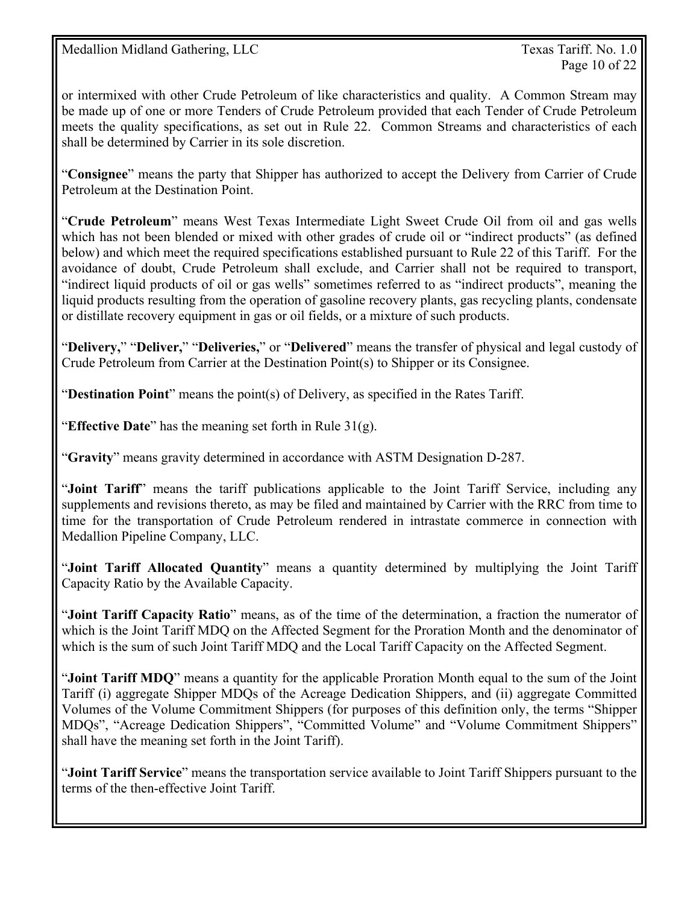or intermixed with other Crude Petroleum of like characteristics and quality. A Common Stream may be made up of one or more Tenders of Crude Petroleum provided that each Tender of Crude Petroleum meets the quality specifications, as set out in Rule 22. Common Streams and characteristics of each shall be determined by Carrier in its sole discretion.

"**Consignee**" means the party that Shipper has authorized to accept the Delivery from Carrier of Crude Petroleum at the Destination Point.

"**Crude Petroleum**" means West Texas Intermediate Light Sweet Crude Oil from oil and gas wells which has not been blended or mixed with other grades of crude oil or "indirect products" (as defined below) and which meet the required specifications established pursuant to Rule 22 of this Tariff. For the avoidance of doubt, Crude Petroleum shall exclude, and Carrier shall not be required to transport, "indirect liquid products of oil or gas wells" sometimes referred to as "indirect products", meaning the liquid products resulting from the operation of gasoline recovery plants, gas recycling plants, condensate or distillate recovery equipment in gas or oil fields, or a mixture of such products.

"**Delivery,**" "**Deliver,**" "**Deliveries,**" or "**Delivered**" means the transfer of physical and legal custody of Crude Petroleum from Carrier at the Destination Point(s) to Shipper or its Consignee.

"**Destination Point**" means the point(s) of Delivery, as specified in the Rates Tariff.

"**Effective Date**" has the meaning set forth in Rule 31(g).

"**Gravity**" means gravity determined in accordance with ASTM Designation D-287.

"**Joint Tariff**" means the tariff publications applicable to the Joint Tariff Service, including any supplements and revisions thereto, as may be filed and maintained by Carrier with the RRC from time to time for the transportation of Crude Petroleum rendered in intrastate commerce in connection with Medallion Pipeline Company, LLC.

"**Joint Tariff Allocated Quantity**" means a quantity determined by multiplying the Joint Tariff Capacity Ratio by the Available Capacity.

"**Joint Tariff Capacity Ratio**" means, as of the time of the determination, a fraction the numerator of which is the Joint Tariff MDQ on the Affected Segment for the Proration Month and the denominator of which is the sum of such Joint Tariff MDQ and the Local Tariff Capacity on the Affected Segment.

"**Joint Tariff MDQ**" means a quantity for the applicable Proration Month equal to the sum of the Joint Tariff (i) aggregate Shipper MDQs of the Acreage Dedication Shippers, and (ii) aggregate Committed Volumes of the Volume Commitment Shippers (for purposes of this definition only, the terms "Shipper MDQs", "Acreage Dedication Shippers", "Committed Volume" and "Volume Commitment Shippers" shall have the meaning set forth in the Joint Tariff).

"**Joint Tariff Service**" means the transportation service available to Joint Tariff Shippers pursuant to the terms of the then-effective Joint Tariff.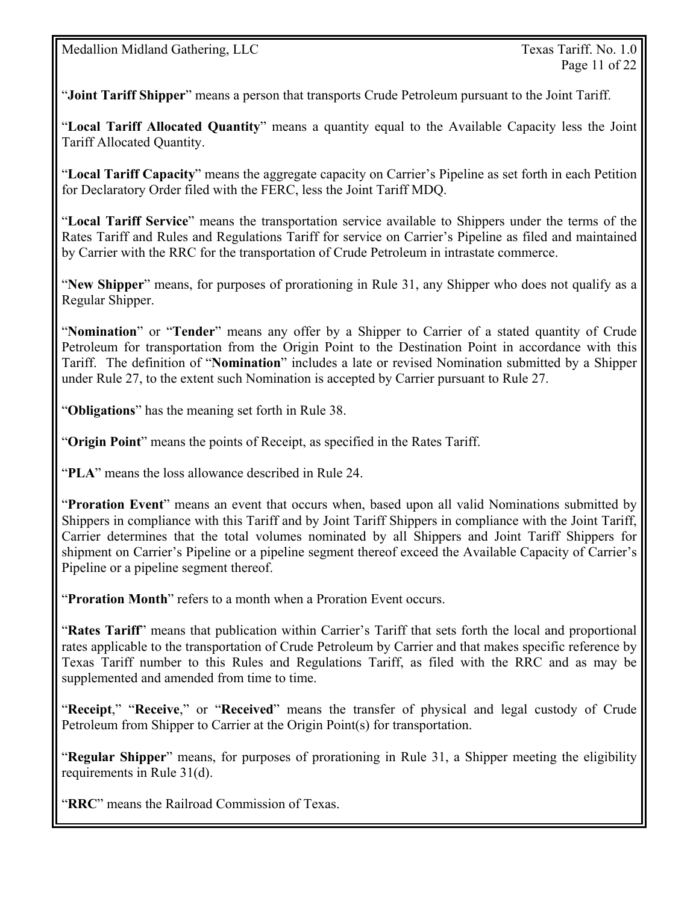"**Joint Tariff Shipper**" means a person that transports Crude Petroleum pursuant to the Joint Tariff.

"**Local Tariff Allocated Quantity**" means a quantity equal to the Available Capacity less the Joint Tariff Allocated Quantity.

"**Local Tariff Capacity**" means the aggregate capacity on Carrier's Pipeline as set forth in each Petition for Declaratory Order filed with the FERC, less the Joint Tariff MDQ.

"**Local Tariff Service**" means the transportation service available to Shippers under the terms of the Rates Tariff and Rules and Regulations Tariff for service on Carrier's Pipeline as filed and maintained by Carrier with the RRC for the transportation of Crude Petroleum in intrastate commerce.

"**New Shipper**" means, for purposes of prorationing in Rule 31, any Shipper who does not qualify as a Regular Shipper.

"**Nomination**" or "**Tender**" means any offer by a Shipper to Carrier of a stated quantity of Crude Petroleum for transportation from the Origin Point to the Destination Point in accordance with this Tariff. The definition of "**Nomination**" includes a late or revised Nomination submitted by a Shipper under Rule 27, to the extent such Nomination is accepted by Carrier pursuant to Rule 27.

"**Obligations**" has the meaning set forth in Rule 38.

"**Origin Point**" means the points of Receipt, as specified in the Rates Tariff.

"**PLA**" means the loss allowance described in Rule 24.

"**Proration Event**" means an event that occurs when, based upon all valid Nominations submitted by Shippers in compliance with this Tariff and by Joint Tariff Shippers in compliance with the Joint Tariff, Carrier determines that the total volumes nominated by all Shippers and Joint Tariff Shippers for shipment on Carrier's Pipeline or a pipeline segment thereof exceed the Available Capacity of Carrier's Pipeline or a pipeline segment thereof.

"**Proration Month**" refers to a month when a Proration Event occurs.

"**Rates Tariff**" means that publication within Carrier's Tariff that sets forth the local and proportional rates applicable to the transportation of Crude Petroleum by Carrier and that makes specific reference by Texas Tariff number to this Rules and Regulations Tariff, as filed with the RRC and as may be supplemented and amended from time to time.

"**Receipt**," "**Receive**," or "**Received**" means the transfer of physical and legal custody of Crude Petroleum from Shipper to Carrier at the Origin Point(s) for transportation.

"**Regular Shipper**" means, for purposes of prorationing in Rule 31, a Shipper meeting the eligibility requirements in Rule 31(d).

"**RRC**" means the Railroad Commission of Texas.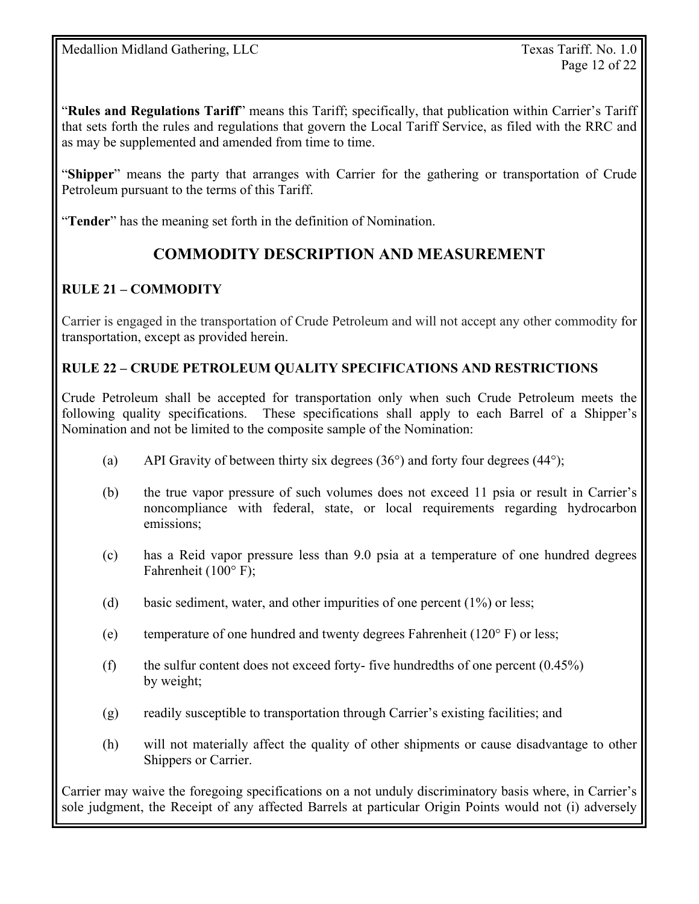"**Rules and Regulations Tariff**" means this Tariff; specifically, that publication within Carrier's Tariff that sets forth the rules and regulations that govern the Local Tariff Service, as filed with the RRC and as may be supplemented and amended from time to time.

"**Shipper**" means the party that arranges with Carrier for the gathering or transportation of Crude Petroleum pursuant to the terms of this Tariff.

"**Tender**" has the meaning set forth in the definition of Nomination.

## **COMMODITY DESCRIPTION AND MEASUREMENT**

## **RULE 21 – COMMODITY**

Carrier is engaged in the transportation of Crude Petroleum and will not accept any other commodity for transportation, except as provided herein.

#### **RULE 22 – CRUDE PETROLEUM QUALITY SPECIFICATIONS AND RESTRICTIONS**

Crude Petroleum shall be accepted for transportation only when such Crude Petroleum meets the following quality specifications. These specifications shall apply to each Barrel of a Shipper's Nomination and not be limited to the composite sample of the Nomination:

- (a) API Gravity of between thirty six degrees  $(36^{\circ})$  and forty four degrees  $(44^{\circ})$ ;
- (b) the true vapor pressure of such volumes does not exceed 11 psia or result in Carrier's noncompliance with federal, state, or local requirements regarding hydrocarbon emissions;
- (c) has a Reid vapor pressure less than 9.0 psia at a temperature of one hundred degrees Fahrenheit (100° F);
- (d) basic sediment, water, and other impurities of one percent (1%) or less;
- (e) temperature of one hundred and twenty degrees Fahrenheit (120° F) or less;
- (f) the sulfur content does not exceed forty- five hundredths of one percent  $(0.45\%)$ by weight;
- (g) readily susceptible to transportation through Carrier's existing facilities; and
- (h) will not materially affect the quality of other shipments or cause disadvantage to other Shippers or Carrier.

Carrier may waive the foregoing specifications on a not unduly discriminatory basis where, in Carrier's sole judgment, the Receipt of any affected Barrels at particular Origin Points would not (i) adversely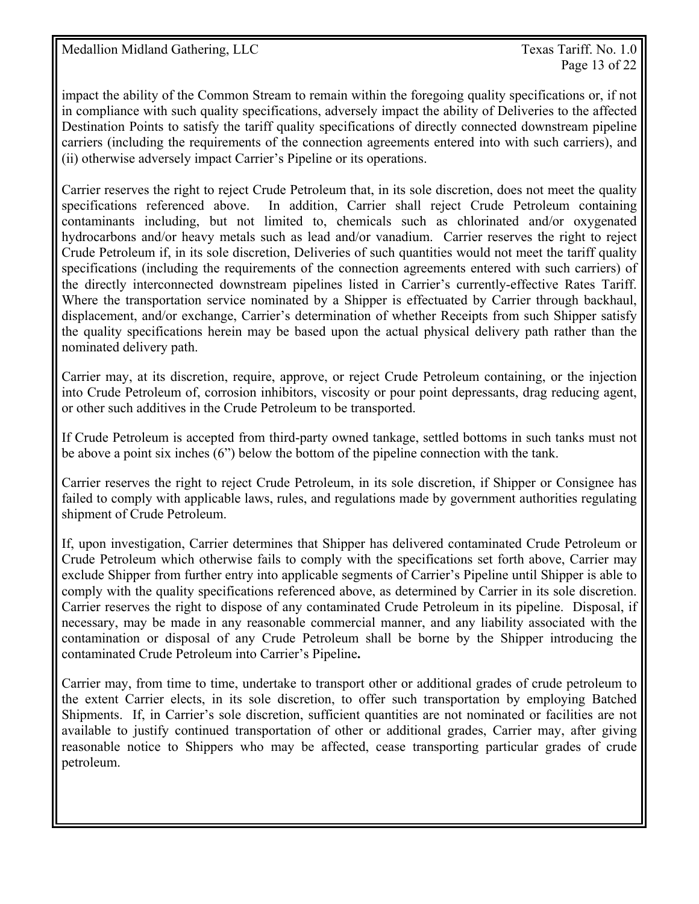Page 13 of 22

impact the ability of the Common Stream to remain within the foregoing quality specifications or, if not in compliance with such quality specifications, adversely impact the ability of Deliveries to the affected Destination Points to satisfy the tariff quality specifications of directly connected downstream pipeline carriers (including the requirements of the connection agreements entered into with such carriers), and (ii) otherwise adversely impact Carrier's Pipeline or its operations.

Carrier reserves the right to reject Crude Petroleum that, in its sole discretion, does not meet the quality specifications referenced above. In addition, Carrier shall reject Crude Petroleum containing contaminants including, but not limited to, chemicals such as chlorinated and/or oxygenated hydrocarbons and/or heavy metals such as lead and/or vanadium. Carrier reserves the right to reject Crude Petroleum if, in its sole discretion, Deliveries of such quantities would not meet the tariff quality specifications (including the requirements of the connection agreements entered with such carriers) of the directly interconnected downstream pipelines listed in Carrier's currently-effective Rates Tariff. Where the transportation service nominated by a Shipper is effectuated by Carrier through backhaul, displacement, and/or exchange, Carrier's determination of whether Receipts from such Shipper satisfy the quality specifications herein may be based upon the actual physical delivery path rather than the nominated delivery path.

Carrier may, at its discretion, require, approve, or reject Crude Petroleum containing, or the injection into Crude Petroleum of, corrosion inhibitors, viscosity or pour point depressants, drag reducing agent, or other such additives in the Crude Petroleum to be transported.

If Crude Petroleum is accepted from third-party owned tankage, settled bottoms in such tanks must not be above a point six inches (6") below the bottom of the pipeline connection with the tank.

Carrier reserves the right to reject Crude Petroleum, in its sole discretion, if Shipper or Consignee has failed to comply with applicable laws, rules, and regulations made by government authorities regulating shipment of Crude Petroleum.

If, upon investigation, Carrier determines that Shipper has delivered contaminated Crude Petroleum or Crude Petroleum which otherwise fails to comply with the specifications set forth above, Carrier may exclude Shipper from further entry into applicable segments of Carrier's Pipeline until Shipper is able to comply with the quality specifications referenced above, as determined by Carrier in its sole discretion. Carrier reserves the right to dispose of any contaminated Crude Petroleum in its pipeline. Disposal, if necessary, may be made in any reasonable commercial manner, and any liability associated with the contamination or disposal of any Crude Petroleum shall be borne by the Shipper introducing the contaminated Crude Petroleum into Carrier's Pipeline**.**

Carrier may, from time to time, undertake to transport other or additional grades of crude petroleum to the extent Carrier elects, in its sole discretion, to offer such transportation by employing Batched Shipments. If, in Carrier's sole discretion, sufficient quantities are not nominated or facilities are not available to justify continued transportation of other or additional grades, Carrier may, after giving reasonable notice to Shippers who may be affected, cease transporting particular grades of crude petroleum.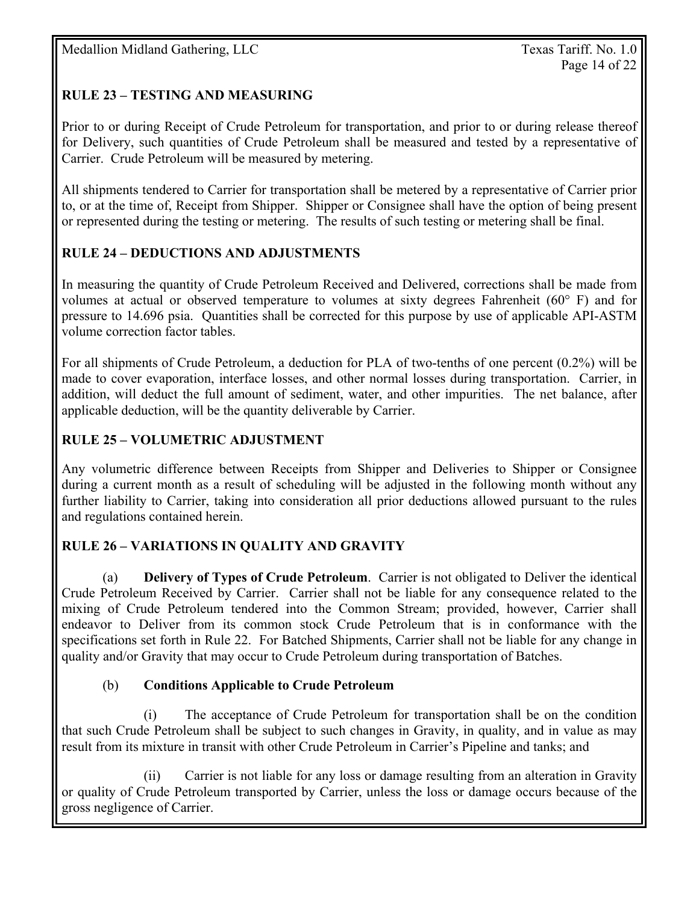## **RULE 23 – TESTING AND MEASURING**

Prior to or during Receipt of Crude Petroleum for transportation, and prior to or during release thereof for Delivery, such quantities of Crude Petroleum shall be measured and tested by a representative of Carrier. Crude Petroleum will be measured by metering.

All shipments tendered to Carrier for transportation shall be metered by a representative of Carrier prior to, or at the time of, Receipt from Shipper. Shipper or Consignee shall have the option of being present or represented during the testing or metering. The results of such testing or metering shall be final.

## **RULE 24 – DEDUCTIONS AND ADJUSTMENTS**

In measuring the quantity of Crude Petroleum Received and Delivered, corrections shall be made from volumes at actual or observed temperature to volumes at sixty degrees Fahrenheit ( $60^{\circ}$  F) and for pressure to 14.696 psia. Quantities shall be corrected for this purpose by use of applicable API-ASTM volume correction factor tables.

For all shipments of Crude Petroleum, a deduction for PLA of two-tenths of one percent (0.2%) will be made to cover evaporation, interface losses, and other normal losses during transportation. Carrier, in addition, will deduct the full amount of sediment, water, and other impurities. The net balance, after applicable deduction, will be the quantity deliverable by Carrier.

## **RULE 25 – VOLUMETRIC ADJUSTMENT**

Any volumetric difference between Receipts from Shipper and Deliveries to Shipper or Consignee during a current month as a result of scheduling will be adjusted in the following month without any further liability to Carrier, taking into consideration all prior deductions allowed pursuant to the rules and regulations contained herein.

## **RULE 26 – VARIATIONS IN QUALITY AND GRAVITY**

(a) **Delivery of Types of Crude Petroleum**. Carrier is not obligated to Deliver the identical Crude Petroleum Received by Carrier. Carrier shall not be liable for any consequence related to the mixing of Crude Petroleum tendered into the Common Stream; provided, however, Carrier shall endeavor to Deliver from its common stock Crude Petroleum that is in conformance with the specifications set forth in Rule 22. For Batched Shipments, Carrier shall not be liable for any change in quality and/or Gravity that may occur to Crude Petroleum during transportation of Batches.

#### (b) **Conditions Applicable to Crude Petroleum**

 (i) The acceptance of Crude Petroleum for transportation shall be on the condition that such Crude Petroleum shall be subject to such changes in Gravity, in quality, and in value as may result from its mixture in transit with other Crude Petroleum in Carrier's Pipeline and tanks; and

 (ii) Carrier is not liable for any loss or damage resulting from an alteration in Gravity or quality of Crude Petroleum transported by Carrier, unless the loss or damage occurs because of the gross negligence of Carrier.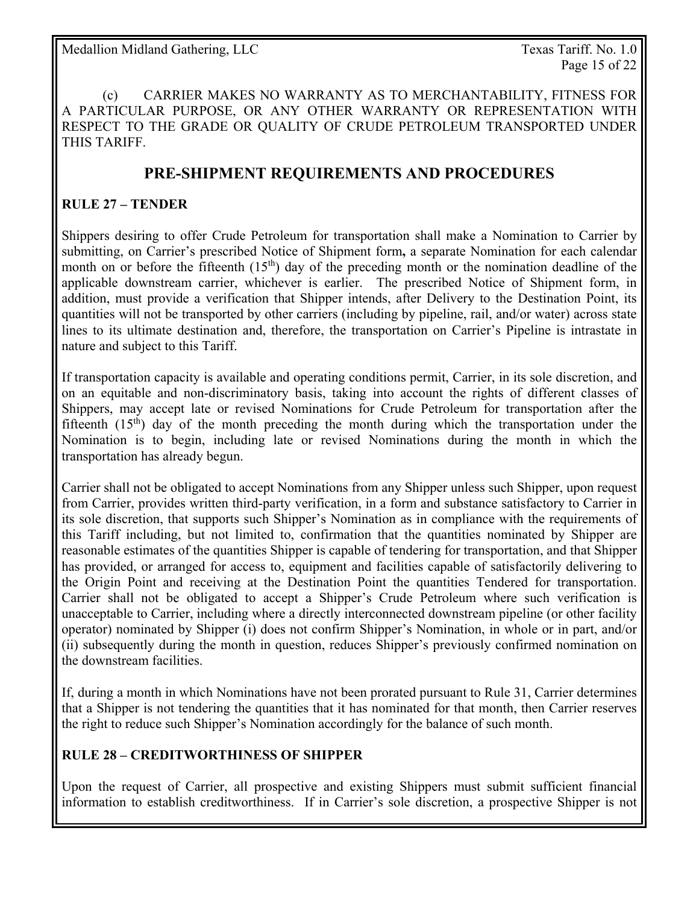(c) CARRIER MAKES NO WARRANTY AS TO MERCHANTABILITY, FITNESS FOR A PARTICULAR PURPOSE, OR ANY OTHER WARRANTY OR REPRESENTATION WITH RESPECT TO THE GRADE OR QUALITY OF CRUDE PETROLEUM TRANSPORTED UNDER THIS TARIFF.

## **PRE-SHIPMENT REQUIREMENTS AND PROCEDURES**

#### **RULE 27 – TENDER**

Shippers desiring to offer Crude Petroleum for transportation shall make a Nomination to Carrier by submitting, on Carrier's prescribed Notice of Shipment form**,** a separate Nomination for each calendar month on or before the fifteenth  $(15<sup>th</sup>)$  day of the preceding month or the nomination deadline of the applicable downstream carrier, whichever is earlier. The prescribed Notice of Shipment form, in addition, must provide a verification that Shipper intends, after Delivery to the Destination Point, its quantities will not be transported by other carriers (including by pipeline, rail, and/or water) across state lines to its ultimate destination and, therefore, the transportation on Carrier's Pipeline is intrastate in nature and subject to this Tariff.

If transportation capacity is available and operating conditions permit, Carrier, in its sole discretion, and on an equitable and non-discriminatory basis, taking into account the rights of different classes of Shippers, may accept late or revised Nominations for Crude Petroleum for transportation after the fifteenth  $(15<sup>th</sup>)$  day of the month preceding the month during which the transportation under the Nomination is to begin, including late or revised Nominations during the month in which the transportation has already begun.

Carrier shall not be obligated to accept Nominations from any Shipper unless such Shipper, upon request from Carrier, provides written third-party verification, in a form and substance satisfactory to Carrier in its sole discretion, that supports such Shipper's Nomination as in compliance with the requirements of this Tariff including, but not limited to, confirmation that the quantities nominated by Shipper are reasonable estimates of the quantities Shipper is capable of tendering for transportation, and that Shipper has provided, or arranged for access to, equipment and facilities capable of satisfactorily delivering to the Origin Point and receiving at the Destination Point the quantities Tendered for transportation. Carrier shall not be obligated to accept a Shipper's Crude Petroleum where such verification is unacceptable to Carrier, including where a directly interconnected downstream pipeline (or other facility operator) nominated by Shipper (i) does not confirm Shipper's Nomination, in whole or in part, and/or (ii) subsequently during the month in question, reduces Shipper's previously confirmed nomination on the downstream facilities.

If, during a month in which Nominations have not been prorated pursuant to Rule 31, Carrier determines that a Shipper is not tendering the quantities that it has nominated for that month, then Carrier reserves the right to reduce such Shipper's Nomination accordingly for the balance of such month.

#### **RULE 28 – CREDITWORTHINESS OF SHIPPER**

Upon the request of Carrier, all prospective and existing Shippers must submit sufficient financial information to establish creditworthiness. If in Carrier's sole discretion, a prospective Shipper is not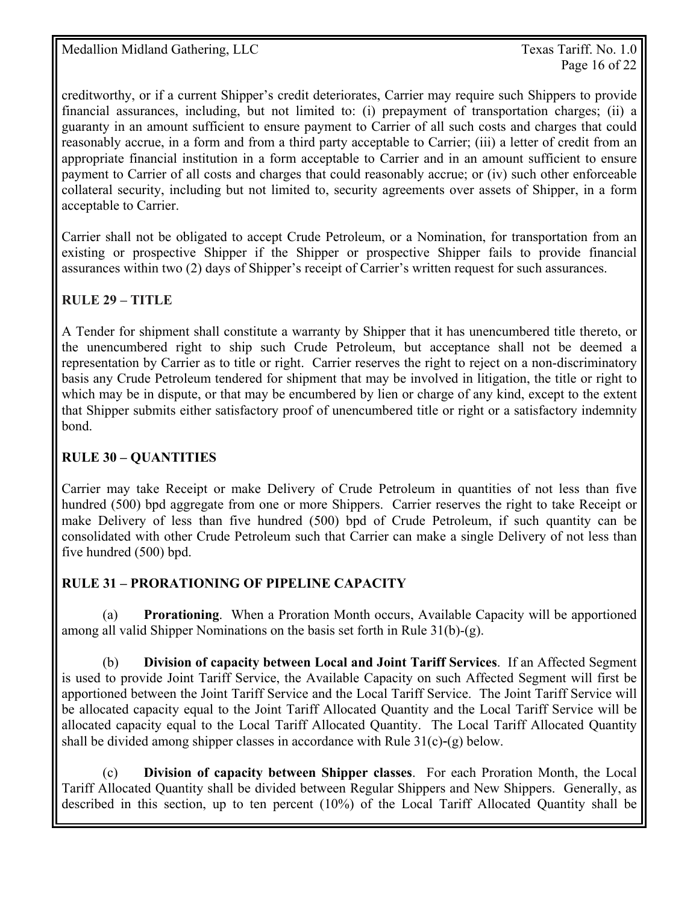creditworthy, or if a current Shipper's credit deteriorates, Carrier may require such Shippers to provide financial assurances, including, but not limited to: (i) prepayment of transportation charges; (ii) a guaranty in an amount sufficient to ensure payment to Carrier of all such costs and charges that could reasonably accrue, in a form and from a third party acceptable to Carrier; (iii) a letter of credit from an appropriate financial institution in a form acceptable to Carrier and in an amount sufficient to ensure payment to Carrier of all costs and charges that could reasonably accrue; or (iv) such other enforceable collateral security, including but not limited to, security agreements over assets of Shipper, in a form acceptable to Carrier.

Carrier shall not be obligated to accept Crude Petroleum, or a Nomination, for transportation from an existing or prospective Shipper if the Shipper or prospective Shipper fails to provide financial assurances within two (2) days of Shipper's receipt of Carrier's written request for such assurances.

## **RULE 29 – TITLE**

A Tender for shipment shall constitute a warranty by Shipper that it has unencumbered title thereto, or the unencumbered right to ship such Crude Petroleum, but acceptance shall not be deemed a representation by Carrier as to title or right. Carrier reserves the right to reject on a non-discriminatory basis any Crude Petroleum tendered for shipment that may be involved in litigation, the title or right to which may be in dispute, or that may be encumbered by lien or charge of any kind, except to the extent that Shipper submits either satisfactory proof of unencumbered title or right or a satisfactory indemnity bond.

### **RULE 30 – QUANTITIES**

Carrier may take Receipt or make Delivery of Crude Petroleum in quantities of not less than five hundred (500) bpd aggregate from one or more Shippers. Carrier reserves the right to take Receipt or make Delivery of less than five hundred (500) bpd of Crude Petroleum, if such quantity can be consolidated with other Crude Petroleum such that Carrier can make a single Delivery of not less than five hundred (500) bpd.

#### **RULE 31 – PRORATIONING OF PIPELINE CAPACITY**

 (a) **Prorationing**. When a Proration Month occurs, Available Capacity will be apportioned among all valid Shipper Nominations on the basis set forth in Rule 31(b)-(g).

(b) **Division of capacity between Local and Joint Tariff Services**. If an Affected Segment is used to provide Joint Tariff Service, the Available Capacity on such Affected Segment will first be apportioned between the Joint Tariff Service and the Local Tariff Service. The Joint Tariff Service will be allocated capacity equal to the Joint Tariff Allocated Quantity and the Local Tariff Service will be allocated capacity equal to the Local Tariff Allocated Quantity. The Local Tariff Allocated Quantity shall be divided among shipper classes in accordance with Rule  $31(c)-(g)$  below.

 (c) **Division of capacity between Shipper classes**. For each Proration Month, the Local Tariff Allocated Quantity shall be divided between Regular Shippers and New Shippers. Generally, as described in this section, up to ten percent (10%) of the Local Tariff Allocated Quantity shall be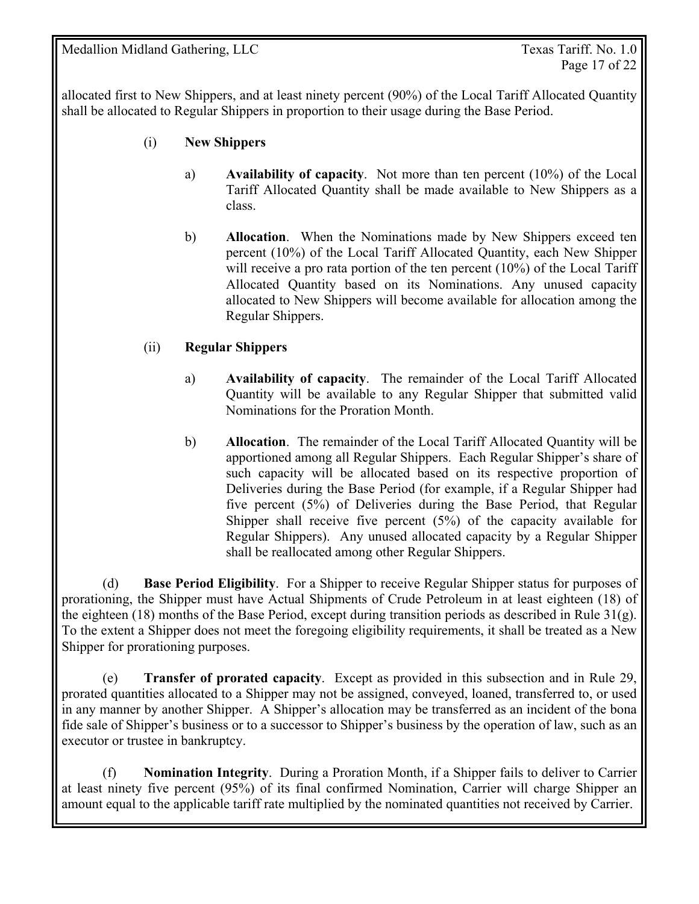allocated first to New Shippers, and at least ninety percent (90%) of the Local Tariff Allocated Quantity shall be allocated to Regular Shippers in proportion to their usage during the Base Period.

- (i) **New Shippers** 
	- a) **Availability of capacity**. Not more than ten percent (10%) of the Local Tariff Allocated Quantity shall be made available to New Shippers as a class.
	- b) **Allocation**. When the Nominations made by New Shippers exceed ten percent (10%) of the Local Tariff Allocated Quantity, each New Shipper will receive a pro rata portion of the ten percent (10%) of the Local Tariff Allocated Quantity based on its Nominations. Any unused capacity allocated to New Shippers will become available for allocation among the Regular Shippers.

#### (ii) **Regular Shippers**

- a) **Availability of capacity**. The remainder of the Local Tariff Allocated Quantity will be available to any Regular Shipper that submitted valid Nominations for the Proration Month.
- b) **Allocation**. The remainder of the Local Tariff Allocated Quantity will be apportioned among all Regular Shippers. Each Regular Shipper's share of such capacity will be allocated based on its respective proportion of Deliveries during the Base Period (for example, if a Regular Shipper had five percent (5%) of Deliveries during the Base Period, that Regular Shipper shall receive five percent (5%) of the capacity available for Regular Shippers). Any unused allocated capacity by a Regular Shipper shall be reallocated among other Regular Shippers.

 (d) **Base Period Eligibility**. For a Shipper to receive Regular Shipper status for purposes of prorationing, the Shipper must have Actual Shipments of Crude Petroleum in at least eighteen (18) of the eighteen (18) months of the Base Period, except during transition periods as described in Rule 31(g). To the extent a Shipper does not meet the foregoing eligibility requirements, it shall be treated as a New Shipper for prorationing purposes.

 (e) **Transfer of prorated capacity**. Except as provided in this subsection and in Rule 29, prorated quantities allocated to a Shipper may not be assigned, conveyed, loaned, transferred to, or used in any manner by another Shipper. A Shipper's allocation may be transferred as an incident of the bona fide sale of Shipper's business or to a successor to Shipper's business by the operation of law, such as an executor or trustee in bankruptcy.

 (f) **Nomination Integrity**. During a Proration Month, if a Shipper fails to deliver to Carrier at least ninety five percent (95%) of its final confirmed Nomination, Carrier will charge Shipper an amount equal to the applicable tariff rate multiplied by the nominated quantities not received by Carrier.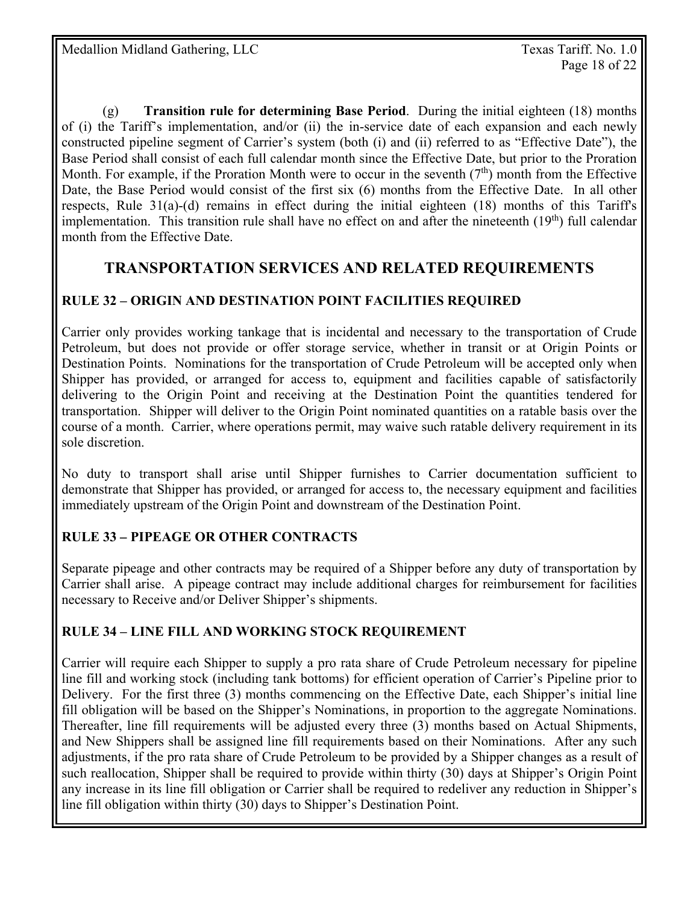(g) **Transition rule for determining Base Period**. During the initial eighteen (18) months of (i) the Tariff's implementation, and/or (ii) the in-service date of each expansion and each newly constructed pipeline segment of Carrier's system (both (i) and (ii) referred to as "Effective Date"), the Base Period shall consist of each full calendar month since the Effective Date, but prior to the Proration Month. For example, if the Proration Month were to occur in the seventh  $(7<sup>th</sup>)$  month from the Effective Date, the Base Period would consist of the first six (6) months from the Effective Date. In all other respects, Rule 31(a)-(d) remains in effect during the initial eighteen (18) months of this Tariff's implementation. This transition rule shall have no effect on and after the nineteenth  $(19<sup>th</sup>)$  full calendar month from the Effective Date.

## **TRANSPORTATION SERVICES AND RELATED REQUIREMENTS**

## **RULE 32 – ORIGIN AND DESTINATION POINT FACILITIES REQUIRED**

Carrier only provides working tankage that is incidental and necessary to the transportation of Crude Petroleum, but does not provide or offer storage service, whether in transit or at Origin Points or Destination Points. Nominations for the transportation of Crude Petroleum will be accepted only when Shipper has provided, or arranged for access to, equipment and facilities capable of satisfactorily delivering to the Origin Point and receiving at the Destination Point the quantities tendered for transportation. Shipper will deliver to the Origin Point nominated quantities on a ratable basis over the course of a month. Carrier, where operations permit, may waive such ratable delivery requirement in its sole discretion.

No duty to transport shall arise until Shipper furnishes to Carrier documentation sufficient to demonstrate that Shipper has provided, or arranged for access to, the necessary equipment and facilities immediately upstream of the Origin Point and downstream of the Destination Point.

## **RULE 33** *–* **PIPEAGE OR OTHER CONTRACTS**

Separate pipeage and other contracts may be required of a Shipper before any duty of transportation by Carrier shall arise. A pipeage contract may include additional charges for reimbursement for facilities necessary to Receive and/or Deliver Shipper's shipments.

## **RULE 34 – LINE FILL AND WORKING STOCK REQUIREMENT**

Carrier will require each Shipper to supply a pro rata share of Crude Petroleum necessary for pipeline line fill and working stock (including tank bottoms) for efficient operation of Carrier's Pipeline prior to Delivery. For the first three (3) months commencing on the Effective Date, each Shipper's initial line fill obligation will be based on the Shipper's Nominations, in proportion to the aggregate Nominations. Thereafter, line fill requirements will be adjusted every three (3) months based on Actual Shipments, and New Shippers shall be assigned line fill requirements based on their Nominations. After any such adjustments, if the pro rata share of Crude Petroleum to be provided by a Shipper changes as a result of such reallocation, Shipper shall be required to provide within thirty (30) days at Shipper's Origin Point any increase in its line fill obligation or Carrier shall be required to redeliver any reduction in Shipper's line fill obligation within thirty (30) days to Shipper's Destination Point.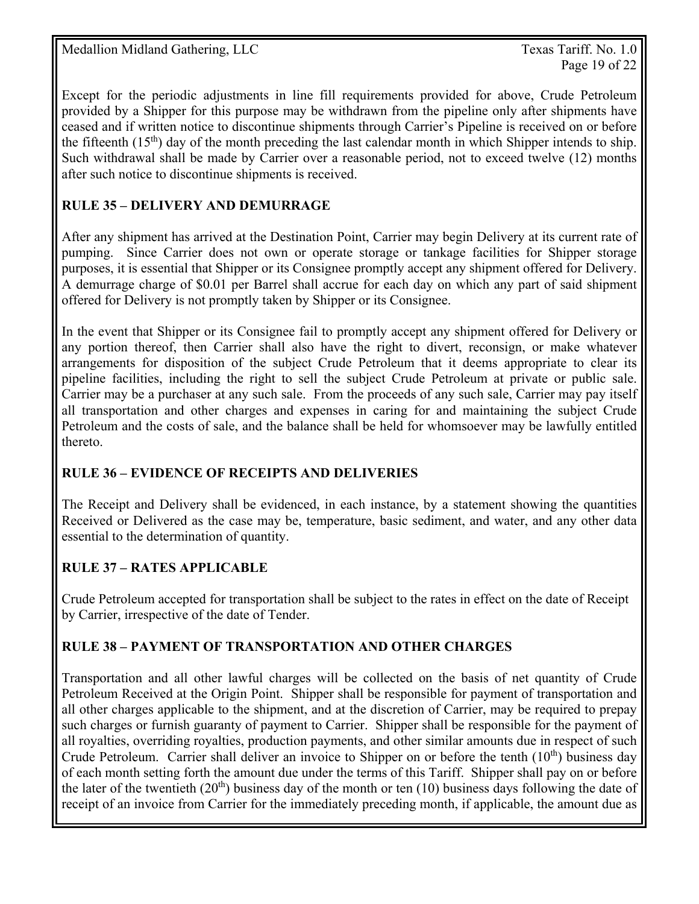Page 19 of 22

Except for the periodic adjustments in line fill requirements provided for above, Crude Petroleum provided by a Shipper for this purpose may be withdrawn from the pipeline only after shipments have ceased and if written notice to discontinue shipments through Carrier's Pipeline is received on or before the fifteenth  $(15<sup>th</sup>)$  day of the month preceding the last calendar month in which Shipper intends to ship. Such withdrawal shall be made by Carrier over a reasonable period, not to exceed twelve (12) months after such notice to discontinue shipments is received.

## **RULE 35 – DELIVERY AND DEMURRAGE**

After any shipment has arrived at the Destination Point, Carrier may begin Delivery at its current rate of pumping. Since Carrier does not own or operate storage or tankage facilities for Shipper storage purposes, it is essential that Shipper or its Consignee promptly accept any shipment offered for Delivery. A demurrage charge of \$0.01 per Barrel shall accrue for each day on which any part of said shipment offered for Delivery is not promptly taken by Shipper or its Consignee.

In the event that Shipper or its Consignee fail to promptly accept any shipment offered for Delivery or any portion thereof, then Carrier shall also have the right to divert, reconsign, or make whatever arrangements for disposition of the subject Crude Petroleum that it deems appropriate to clear its pipeline facilities, including the right to sell the subject Crude Petroleum at private or public sale. Carrier may be a purchaser at any such sale. From the proceeds of any such sale, Carrier may pay itself all transportation and other charges and expenses in caring for and maintaining the subject Crude Petroleum and the costs of sale, and the balance shall be held for whomsoever may be lawfully entitled thereto.

#### **RULE 36 – EVIDENCE OF RECEIPTS AND DELIVERIES**

The Receipt and Delivery shall be evidenced, in each instance, by a statement showing the quantities Received or Delivered as the case may be, temperature, basic sediment, and water, and any other data essential to the determination of quantity.

## **RULE 37 – RATES APPLICABLE**

Crude Petroleum accepted for transportation shall be subject to the rates in effect on the date of Receipt by Carrier, irrespective of the date of Tender.

## **RULE 38 – PAYMENT OF TRANSPORTATION AND OTHER CHARGES**

Transportation and all other lawful charges will be collected on the basis of net quantity of Crude Petroleum Received at the Origin Point. Shipper shall be responsible for payment of transportation and all other charges applicable to the shipment, and at the discretion of Carrier, may be required to prepay such charges or furnish guaranty of payment to Carrier. Shipper shall be responsible for the payment of all royalties, overriding royalties, production payments, and other similar amounts due in respect of such Crude Petroleum. Carrier shall deliver an invoice to Shipper on or before the tenth  $(10<sup>th</sup>)$  business day of each month setting forth the amount due under the terms of this Tariff. Shipper shall pay on or before the later of the twentieth  $(20<sup>th</sup>)$  business day of the month or ten  $(10)$  business days following the date of receipt of an invoice from Carrier for the immediately preceding month, if applicable, the amount due as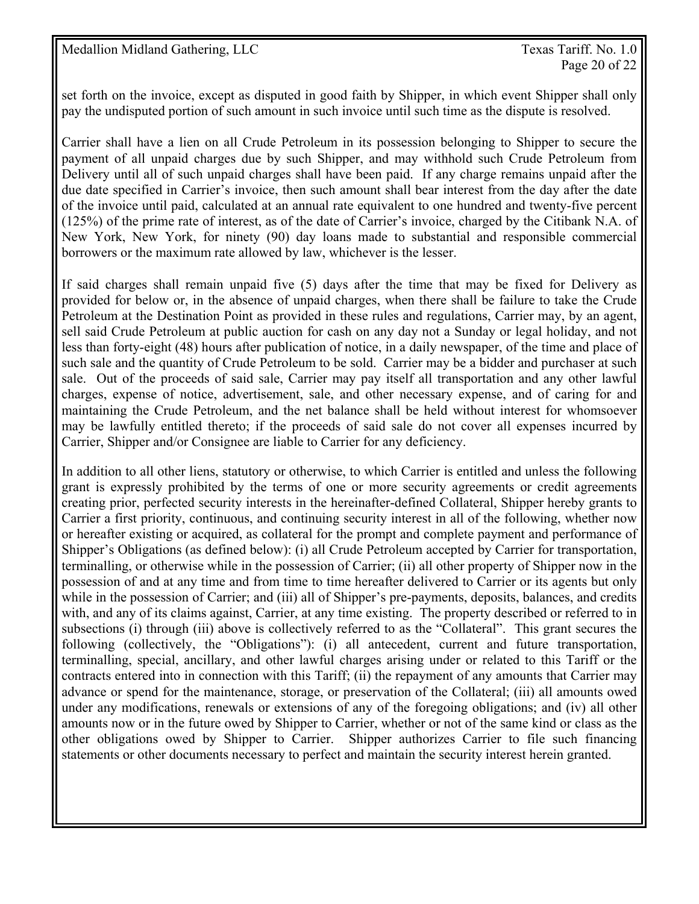set forth on the invoice, except as disputed in good faith by Shipper, in which event Shipper shall only pay the undisputed portion of such amount in such invoice until such time as the dispute is resolved.

Carrier shall have a lien on all Crude Petroleum in its possession belonging to Shipper to secure the payment of all unpaid charges due by such Shipper, and may withhold such Crude Petroleum from Delivery until all of such unpaid charges shall have been paid. If any charge remains unpaid after the due date specified in Carrier's invoice, then such amount shall bear interest from the day after the date of the invoice until paid, calculated at an annual rate equivalent to one hundred and twenty-five percent (125%) of the prime rate of interest, as of the date of Carrier's invoice, charged by the Citibank N.A. of New York, New York, for ninety (90) day loans made to substantial and responsible commercial borrowers or the maximum rate allowed by law, whichever is the lesser.

If said charges shall remain unpaid five (5) days after the time that may be fixed for Delivery as provided for below or, in the absence of unpaid charges, when there shall be failure to take the Crude Petroleum at the Destination Point as provided in these rules and regulations, Carrier may, by an agent, sell said Crude Petroleum at public auction for cash on any day not a Sunday or legal holiday, and not less than forty-eight (48) hours after publication of notice, in a daily newspaper, of the time and place of such sale and the quantity of Crude Petroleum to be sold. Carrier may be a bidder and purchaser at such sale. Out of the proceeds of said sale, Carrier may pay itself all transportation and any other lawful charges, expense of notice, advertisement, sale, and other necessary expense, and of caring for and maintaining the Crude Petroleum, and the net balance shall be held without interest for whomsoever may be lawfully entitled thereto; if the proceeds of said sale do not cover all expenses incurred by Carrier, Shipper and/or Consignee are liable to Carrier for any deficiency.

In addition to all other liens, statutory or otherwise, to which Carrier is entitled and unless the following grant is expressly prohibited by the terms of one or more security agreements or credit agreements creating prior, perfected security interests in the hereinafter-defined Collateral, Shipper hereby grants to Carrier a first priority, continuous, and continuing security interest in all of the following, whether now or hereafter existing or acquired, as collateral for the prompt and complete payment and performance of Shipper's Obligations (as defined below): (i) all Crude Petroleum accepted by Carrier for transportation, terminalling, or otherwise while in the possession of Carrier; (ii) all other property of Shipper now in the possession of and at any time and from time to time hereafter delivered to Carrier or its agents but only while in the possession of Carrier; and (iii) all of Shipper's pre-payments, deposits, balances, and credits with, and any of its claims against, Carrier, at any time existing. The property described or referred to in subsections (i) through (iii) above is collectively referred to as the "Collateral". This grant secures the following (collectively, the "Obligations"): (i) all antecedent, current and future transportation, terminalling, special, ancillary, and other lawful charges arising under or related to this Tariff or the contracts entered into in connection with this Tariff; (ii) the repayment of any amounts that Carrier may advance or spend for the maintenance, storage, or preservation of the Collateral; (iii) all amounts owed under any modifications, renewals or extensions of any of the foregoing obligations; and (iv) all other amounts now or in the future owed by Shipper to Carrier, whether or not of the same kind or class as the other obligations owed by Shipper to Carrier. Shipper authorizes Carrier to file such financing statements or other documents necessary to perfect and maintain the security interest herein granted.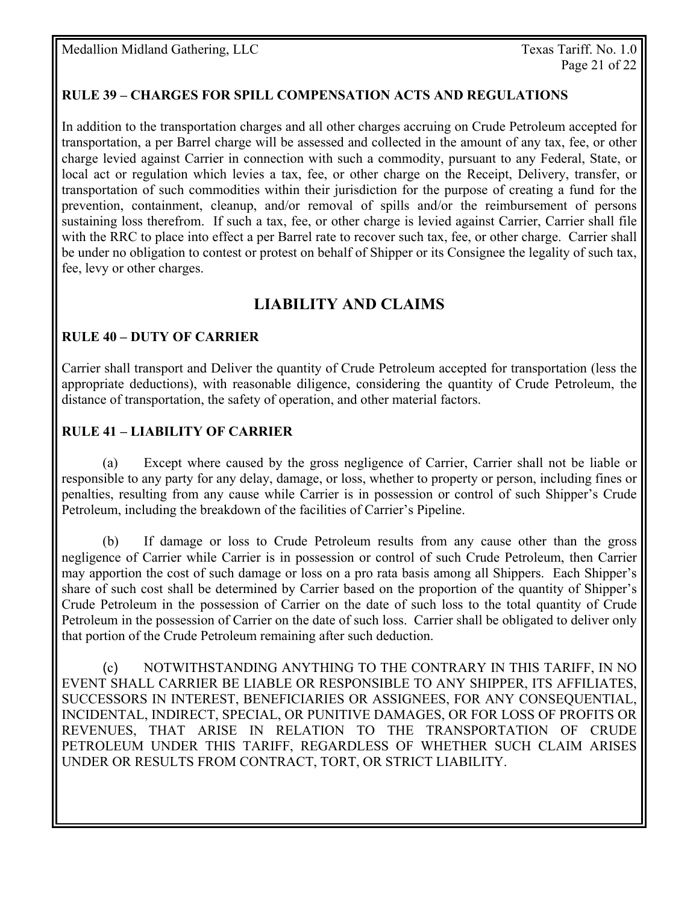### **RULE 39 – CHARGES FOR SPILL COMPENSATION ACTS AND REGULATIONS**

In addition to the transportation charges and all other charges accruing on Crude Petroleum accepted for transportation, a per Barrel charge will be assessed and collected in the amount of any tax, fee, or other charge levied against Carrier in connection with such a commodity, pursuant to any Federal, State, or local act or regulation which levies a tax, fee, or other charge on the Receipt, Delivery, transfer, or transportation of such commodities within their jurisdiction for the purpose of creating a fund for the prevention, containment, cleanup, and/or removal of spills and/or the reimbursement of persons sustaining loss therefrom. If such a tax, fee, or other charge is levied against Carrier, Carrier shall file with the RRC to place into effect a per Barrel rate to recover such tax, fee, or other charge. Carrier shall be under no obligation to contest or protest on behalf of Shipper or its Consignee the legality of such tax, fee, levy or other charges.

# **LIABILITY AND CLAIMS**

#### **RULE 40 – DUTY OF CARRIER**

Carrier shall transport and Deliver the quantity of Crude Petroleum accepted for transportation (less the appropriate deductions), with reasonable diligence, considering the quantity of Crude Petroleum, the distance of transportation, the safety of operation, and other material factors.

#### **RULE 41 – LIABILITY OF CARRIER**

 (a) Except where caused by the gross negligence of Carrier, Carrier shall not be liable or responsible to any party for any delay, damage, or loss, whether to property or person, including fines or penalties, resulting from any cause while Carrier is in possession or control of such Shipper's Crude Petroleum, including the breakdown of the facilities of Carrier's Pipeline.

 (b) If damage or loss to Crude Petroleum results from any cause other than the gross negligence of Carrier while Carrier is in possession or control of such Crude Petroleum, then Carrier may apportion the cost of such damage or loss on a pro rata basis among all Shippers. Each Shipper's share of such cost shall be determined by Carrier based on the proportion of the quantity of Shipper's Crude Petroleum in the possession of Carrier on the date of such loss to the total quantity of Crude Petroleum in the possession of Carrier on the date of such loss. Carrier shall be obligated to deliver only that portion of the Crude Petroleum remaining after such deduction.

 (c) NOTWITHSTANDING ANYTHING TO THE CONTRARY IN THIS TARIFF, IN NO EVENT SHALL CARRIER BE LIABLE OR RESPONSIBLE TO ANY SHIPPER, ITS AFFILIATES, SUCCESSORS IN INTEREST, BENEFICIARIES OR ASSIGNEES, FOR ANY CONSEQUENTIAL, INCIDENTAL, INDIRECT, SPECIAL, OR PUNITIVE DAMAGES, OR FOR LOSS OF PROFITS OR REVENUES, THAT ARISE IN RELATION TO THE TRANSPORTATION OF CRUDE PETROLEUM UNDER THIS TARIFF, REGARDLESS OF WHETHER SUCH CLAIM ARISES UNDER OR RESULTS FROM CONTRACT, TORT, OR STRICT LIABILITY.